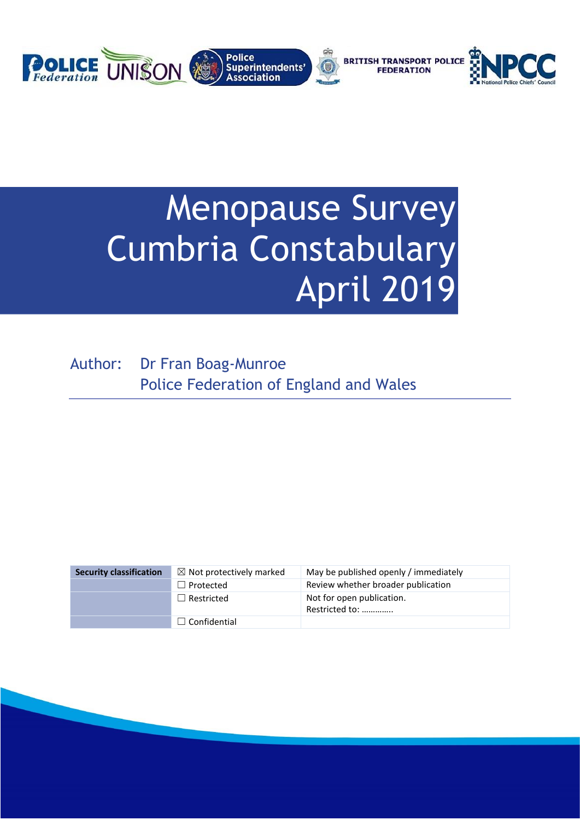

# Menopause Survey Cumbria Constabulary April 2019

Author: Dr Fran Boag-Munroe Police Federation of England and Wales

| <b>Security classification</b> | $\boxtimes$ Not protectively marked | May be published openly / immediately       |
|--------------------------------|-------------------------------------|---------------------------------------------|
|                                | $\Box$ Protected                    | Review whether broader publication          |
|                                | $\Box$ Restricted                   | Not for open publication.<br>Restricted to: |
|                                | $\Box$ Confidential                 |                                             |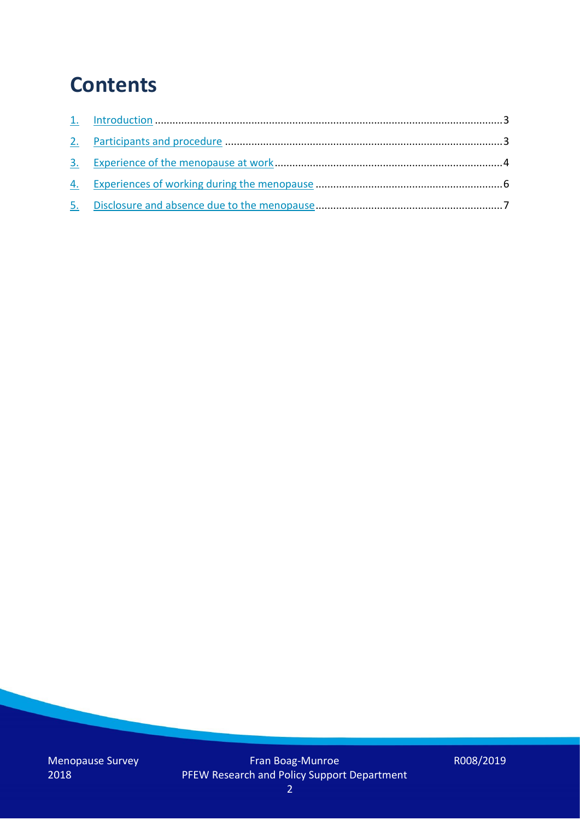### **Contents**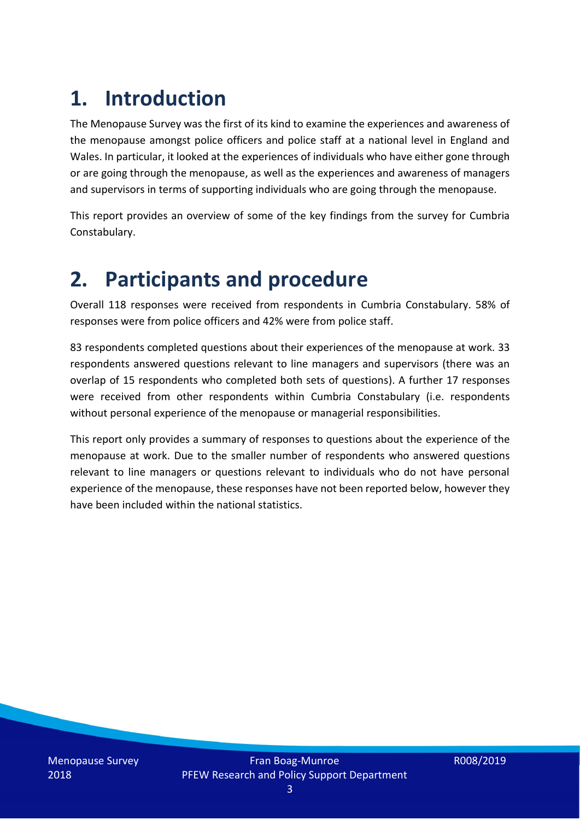## **1. Introduction**

The Menopause Survey was the first of its kind to examine the experiences and awareness of the menopause amongst police officers and police staff at a national level in England and Wales. In particular, it looked at the experiences of individuals who have either gone through or are going through the menopause, as well as the experiences and awareness of managers and supervisors in terms of supporting individuals who are going through the menopause.

This report provides an overview of some of the key findings from the survey for Cumbria Constabulary.

### **2. Participants and procedure**

Overall 118 responses were received from respondents in Cumbria Constabulary. 58% of responses were from police officers and 42% were from police staff.

83 respondents completed questions about their experiences of the menopause at work. 33 respondents answered questions relevant to line managers and supervisors (there was an overlap of 15 respondents who completed both sets of questions). A further 17 responses were received from other respondents within Cumbria Constabulary (i.e. respondents without personal experience of the menopause or managerial responsibilities.

This report only provides a summary of responses to questions about the experience of the menopause at work. Due to the smaller number of respondents who answered questions relevant to line managers or questions relevant to individuals who do not have personal experience of the menopause, these responses have not been reported below, however they have been included within the national statistics.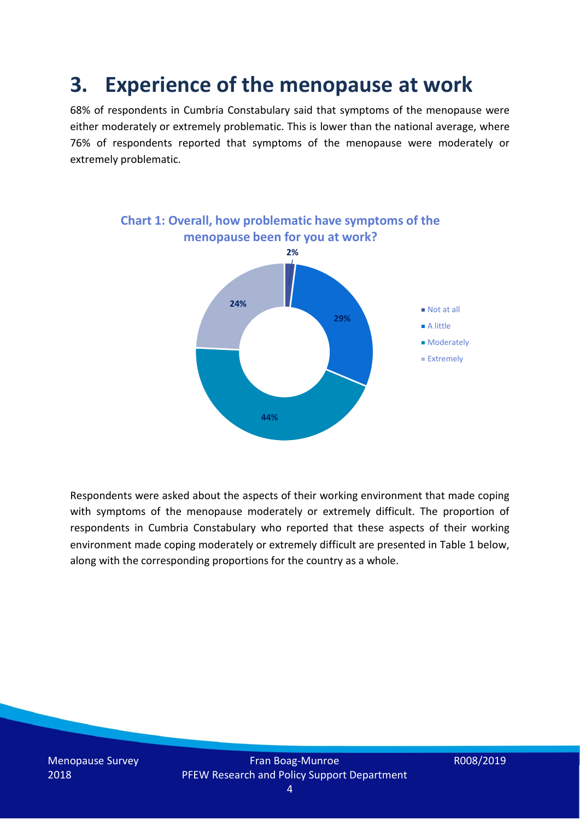### **3. Experience of the menopause at work**

68% of respondents in Cumbria Constabulary said that symptoms of the menopause were either moderately or extremely problematic. This is lower than the national average, where 76% of respondents reported that symptoms of the menopause were moderately or extremely problematic.



Respondents were asked about the aspects of their working environment that made coping with symptoms of the menopause moderately or extremely difficult. The proportion of respondents in Cumbria Constabulary who reported that these aspects of their working environment made coping moderately or extremely difficult are presented in Table 1 below, along with the corresponding proportions for the country as a whole.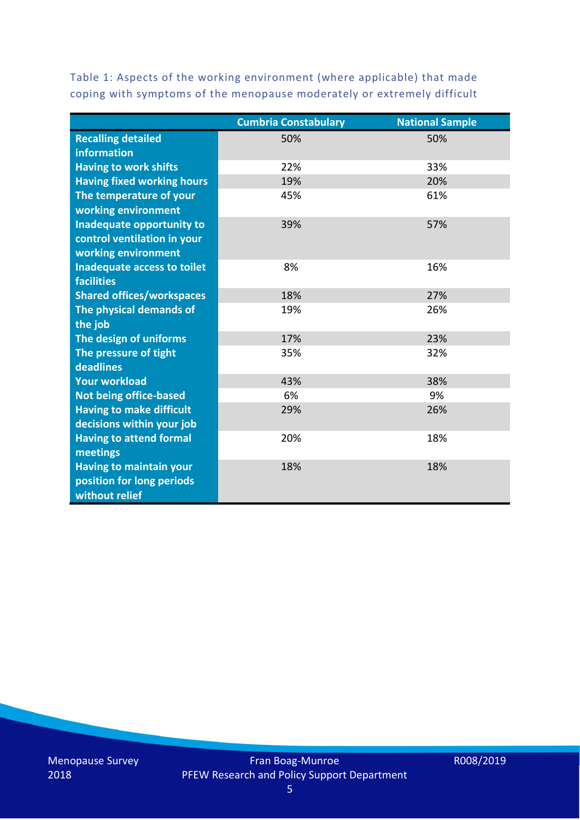Table 1: Aspects of the working environment (where applicable) that made coping with symptoms of the menopause moderately or extremely difficult

|                                   | <b>Cumbria Constabulary</b> | <b>National Sample</b> |
|-----------------------------------|-----------------------------|------------------------|
| <b>Recalling detailed</b>         | 50%                         | 50%                    |
| information                       |                             |                        |
| <b>Having to work shifts</b>      | 22%                         | 33%                    |
| <b>Having fixed working hours</b> | 19%                         | 20%                    |
| The temperature of your           | 45%                         | 61%                    |
| working environment               |                             |                        |
| Inadequate opportunity to         | 39%                         | 57%                    |
| control ventilation in your       |                             |                        |
| working environment               |                             |                        |
| Inadequate access to toilet       | 8%                          | 16%                    |
| <b>facilities</b>                 |                             |                        |
| <b>Shared offices/workspaces</b>  | 18%                         | 27%                    |
| The physical demands of           | 19%                         | 26%                    |
| the job                           |                             |                        |
| The design of uniforms            | 17%                         | 23%                    |
| The pressure of tight             | 35%                         | 32%                    |
| deadlines                         |                             |                        |
| <b>Your workload</b>              | 43%                         | 38%                    |
| <b>Not being office-based</b>     | 6%                          | 9%                     |
| <b>Having to make difficult</b>   | 29%                         | 26%                    |
| decisions within your job         |                             |                        |
| <b>Having to attend formal</b>    | 20%                         | 18%                    |
| meetings                          |                             |                        |
| <b>Having to maintain your</b>    | 18%                         | 18%                    |
| position for long periods         |                             |                        |
| without relief                    |                             |                        |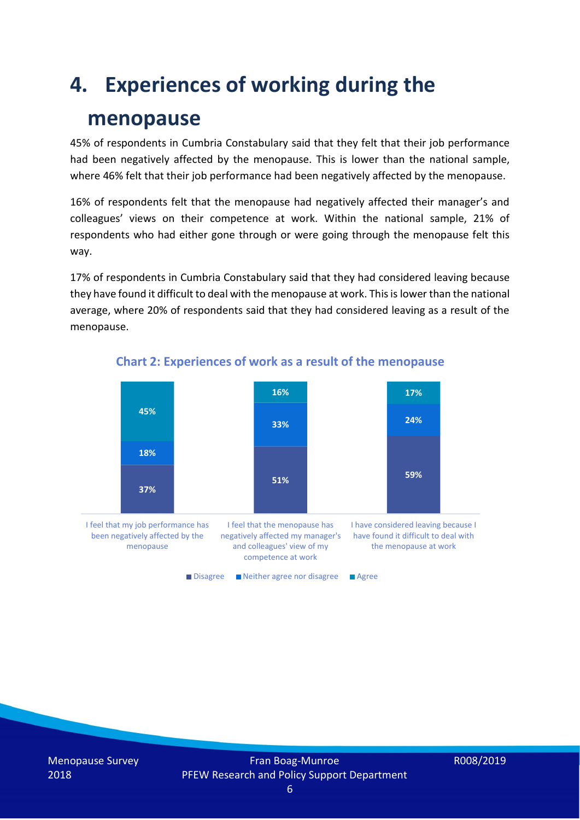### **4. Experiences of working during the**

### **menopause**

45% of respondents in Cumbria Constabulary said that they felt that their job performance had been negatively affected by the menopause. This is lower than the national sample, where 46% felt that their job performance had been negatively affected by the menopause.

16% of respondents felt that the menopause had negatively affected their manager's and colleagues' views on their competence at work. Within the national sample, 21% of respondents who had either gone through or were going through the menopause felt this way.

17% of respondents in Cumbria Constabulary said that they had considered leaving because they have found it difficult to deal with the menopause at work. This is lower than the national average, where 20% of respondents said that they had considered leaving as a result of the menopause.



#### **Chart 2: Experiences of work as a result of the menopause**